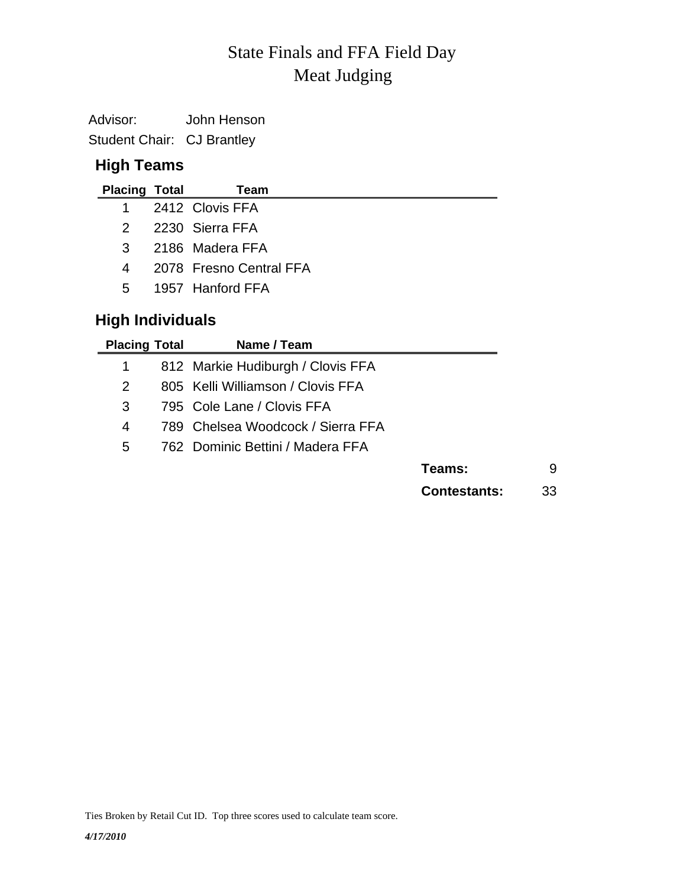# Meat Judging State Finals and FFA Field Day

Advisor: John Henson Student Chair: CJ Brantley

## **High Teams**

| <b>Placing Total</b> | Team                    |
|----------------------|-------------------------|
|                      | 1 2412 Clovis FFA       |
|                      | 2 2230 Sierra FFA       |
| $\mathcal{R}$        | 2186 Madera FFA         |
| 4                    | 2078 Fresno Central FFA |
| .5                   | 1957 Hanford FFA        |

## **High Individuals**

| <b>Placing Total</b> | Name / Team                       |                     |    |
|----------------------|-----------------------------------|---------------------|----|
|                      | 812 Markie Hudiburgh / Clovis FFA |                     |    |
| 2                    | 805 Kelli Williamson / Clovis FFA |                     |    |
| 3                    | 795 Cole Lane / Clovis FFA        |                     |    |
| 4                    | 789 Chelsea Woodcock / Sierra FFA |                     |    |
| 5                    | 762 Dominic Bettini / Madera FFA  |                     |    |
|                      |                                   | Teams:              | 9  |
|                      |                                   | <b>Contestants:</b> | 33 |

Ties Broken by Retail Cut ID. Top three scores used to calculate team score.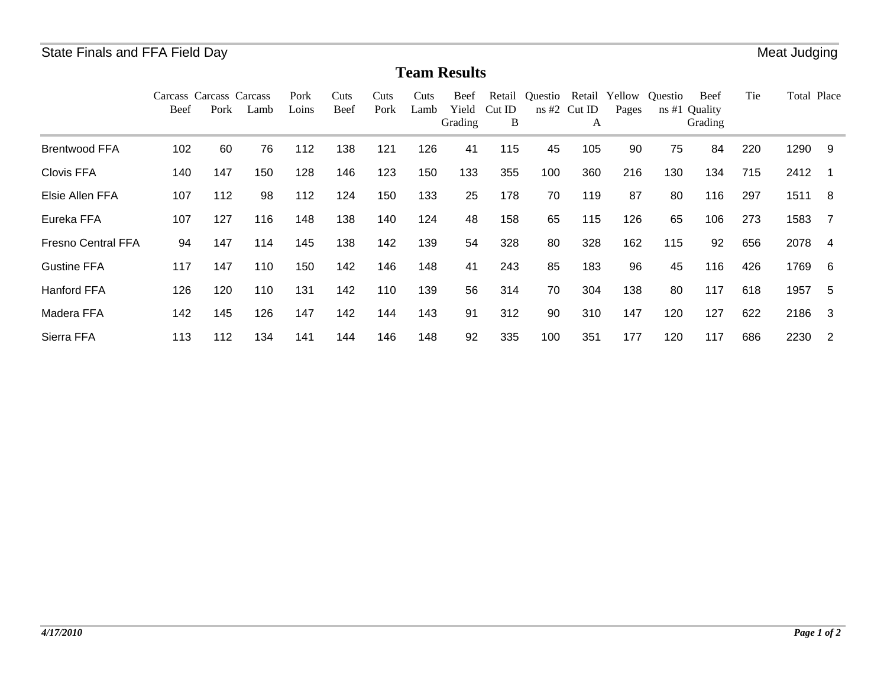## **Team Results**

|                           | Carcass Carcass Carcass<br>Beef | Pork | Lamb | Pork<br>Loins | Cuts<br>Beef | Cuts<br>Pork | Cuts<br>Lamb | Beef<br>Yield<br>Grading | Retail<br>CutID<br>B | Ouestio | Retail<br>$ns \#2$ Cut ID<br>A | Yellow<br>Pages | Ouestio<br>ns#1 | <b>Beef</b><br>Quality<br>Grading | Tie | Total Place |                |
|---------------------------|---------------------------------|------|------|---------------|--------------|--------------|--------------|--------------------------|----------------------|---------|--------------------------------|-----------------|-----------------|-----------------------------------|-----|-------------|----------------|
| <b>Brentwood FFA</b>      | 102                             | 60   | 76   | 112           | 138          | 121          | 126          | 41                       | 115                  | 45      | 105                            | 90              | 75              | 84                                | 220 | 1290        | -9             |
| <b>Clovis FFA</b>         | 140                             | 147  | 150  | 128           | 146          | 123          | 150          | 133                      | 355                  | 100     | 360                            | 216             | 130             | 134                               | 715 | 2412        |                |
| Elsie Allen FFA           | 107                             | 112  | 98   | 112           | 124          | 150          | 133          | 25                       | 178                  | 70      | 119                            | 87              | 80              | 116                               | 297 | 1511        | -8             |
| Eureka FFA                | 107                             | 127  | 116  | 148           | 138          | 140          | 124          | 48                       | 158                  | 65      | 115                            | 126             | 65              | 106                               | 273 | 1583        | $\overline{7}$ |
| <b>Fresno Central FFA</b> | 94                              | 147  | 114  | 145           | 138          | 142          | 139          | 54                       | 328                  | 80      | 328                            | 162             | 115             | 92                                | 656 | 2078        | 4              |
| <b>Gustine FFA</b>        | 117                             | 147  | 110  | 150           | 142          | 146          | 148          | 41                       | 243                  | 85      | 183                            | 96              | 45              | 116                               | 426 | 1769        | -6             |
| <b>Hanford FFA</b>        | 126                             | 120  | 110  | 131           | 142          | 110          | 139          | 56                       | 314                  | 70      | 304                            | 138             | 80              | 117                               | 618 | 1957        | -5             |
| Madera FFA                | 142                             | 145  | 126  | 147           | 142          | 144          | 143          | 91                       | 312                  | 90      | 310                            | 147             | 120             | 127                               | 622 | 2186        | -3             |
| Sierra FFA                | 113                             | 112  | 134  | 141           | 144          | 146          | 148          | 92                       | 335                  | 100     | 351                            | 177             | 120             | 117                               | 686 | 2230        | -2             |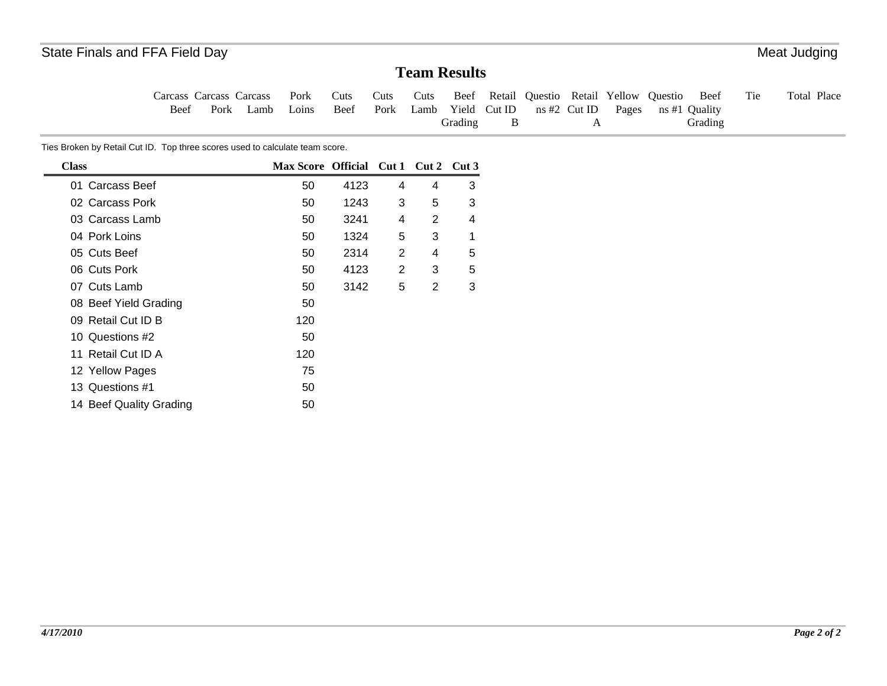## **Team Results**

Tie Total Place Carcass Carcass Carcass Beef Pork Lamb Pork Loins Cuts Beef Cuts Pork Cuts Lamb Yield Cut ID Beef Retail Questio Retail Yellow Questio Grading B ns #2 Cut ID APages ns #1 Quality Beef Grading

Ties Broken by Retail Cut ID. Top three scores used to calculate team score.

| <b>Class</b>            | Max Score Official Cut 1 |      |                | $Cut 2$ Cut 3 |   |
|-------------------------|--------------------------|------|----------------|---------------|---|
| 01 Carcass Beef         | 50                       | 4123 | 4              | 4             | 3 |
| 02 Carcass Pork         | 50                       | 1243 | 3              | 5             | 3 |
| 03 Carcass Lamb         | 50                       | 3241 | 4              | 2             | 4 |
| 04 Pork Loins           | 50                       | 1324 | 5              | 3             | 1 |
| 05 Cuts Beef            | 50                       | 2314 | 2              | 4             | 5 |
| 06 Cuts Pork            | 50                       | 4123 | $\overline{2}$ | 3             | 5 |
| 07 Cuts Lamb            | 50                       | 3142 | 5              | 2             | 3 |
| 08 Beef Yield Grading   | 50                       |      |                |               |   |
| 09 Retail Cut ID B      | 120                      |      |                |               |   |
| 10 Questions #2         | 50                       |      |                |               |   |
| 11 Retail Cut ID A      | 120                      |      |                |               |   |
| 12 Yellow Pages         | 75                       |      |                |               |   |
| 13 Questions #1         | 50                       |      |                |               |   |
| 14 Beef Quality Grading | 50                       |      |                |               |   |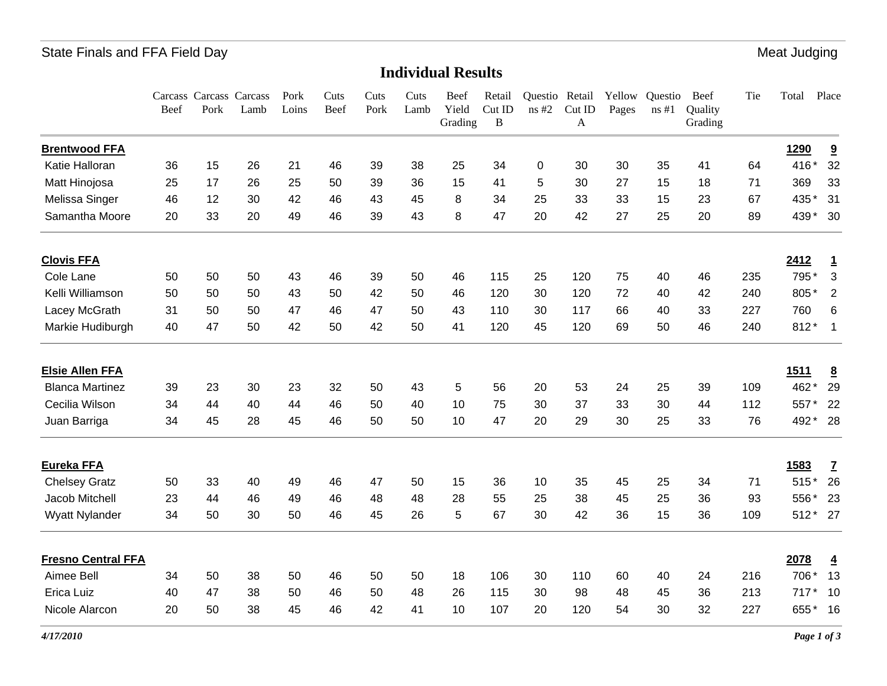## State Finals and FFA Field Day **Meat Judging** State Finals and FFA Field Day

#### **Individual Results**

|                           | Beef | Carcass Carcass Carcass<br>Pork | Lamb | Pork<br>Loins | Cuts<br>Beef | Cuts<br>Pork | Cuts<br>Lamb | Beef<br>Yield<br>Grading | Retail<br>Cut ID<br>$\, {\bf B}$ | Questio<br>ns#2 | Retail<br>CutID<br>A | Yellow<br>Pages | Questio<br>ns#1 | Beef<br>Quality<br>Grading | Tie | Total       | Place                   |
|---------------------------|------|---------------------------------|------|---------------|--------------|--------------|--------------|--------------------------|----------------------------------|-----------------|----------------------|-----------------|-----------------|----------------------------|-----|-------------|-------------------------|
| <b>Brentwood FFA</b>      |      |                                 |      |               |              |              |              |                          |                                  |                 |                      |                 |                 |                            |     | 1290        | $\overline{\mathbf{a}}$ |
| Katie Halloran            | 36   | 15                              | 26   | 21            | 46           | 39           | 38           | 25                       | 34                               | 0               | 30                   | 30              | 35              | 41                         | 64  | 416*        | 32                      |
| Matt Hinojosa             | 25   | 17                              | 26   | 25            | 50           | 39           | 36           | 15                       | 41                               | 5               | 30                   | 27              | 15              | 18                         | 71  | 369         | 33                      |
| Melissa Singer            | 46   | 12                              | 30   | 42            | 46           | 43           | 45           | 8                        | 34                               | 25              | 33                   | 33              | 15              | 23                         | 67  | 435*        | 31                      |
| Samantha Moore            | 20   | 33                              | 20   | 49            | 46           | 39           | 43           | 8                        | 47                               | 20              | 42                   | 27              | 25              | 20                         | 89  | 439*        | 30                      |
| <b>Clovis FFA</b>         |      |                                 |      |               |              |              |              |                          |                                  |                 |                      |                 |                 |                            |     | 2412        | $\overline{1}$          |
| Cole Lane                 | 50   | 50                              | 50   | 43            | 46           | 39           | 50           | 46                       | 115                              | 25              | 120                  | 75              | 40              | 46                         | 235 | 795*        | 3                       |
| Kelli Williamson          | 50   | 50                              | 50   | 43            | 50           | 42           | 50           | 46                       | 120                              | 30              | 120                  | 72              | 40              | 42                         | 240 | 805*        | $\overline{2}$          |
| Lacey McGrath             | 31   | 50                              | 50   | 47            | 46           | 47           | 50           | 43                       | 110                              | 30              | 117                  | 66              | 40              | 33                         | 227 | 760         | 6                       |
| Markie Hudiburgh          | 40   | 47                              | 50   | 42            | 50           | 42           | 50           | 41                       | 120                              | 45              | 120                  | 69              | 50              | 46                         | 240 | $812*$      | $\overline{1}$          |
| <b>Elsie Allen FFA</b>    |      |                                 |      |               |              |              |              |                          |                                  |                 |                      |                 |                 |                            |     | <u>1511</u> | $\underline{8}$         |
| <b>Blanca Martinez</b>    | 39   | 23                              | 30   | 23            | 32           | 50           | 43           | 5                        | 56                               | 20              | 53                   | 24              | 25              | 39                         | 109 | 462*        | 29                      |
| Cecilia Wilson            | 34   | 44                              | 40   | 44            | 46           | 50           | 40           | 10                       | 75                               | 30              | 37                   | 33              | 30              | 44                         | 112 | 557*        | 22                      |
| Juan Barriga              | 34   | 45                              | 28   | 45            | 46           | 50           | 50           | 10                       | 47                               | 20              | 29                   | 30              | 25              | 33                         | 76  | 492*        | - 28                    |
| <b>Eureka FFA</b>         |      |                                 |      |               |              |              |              |                          |                                  |                 |                      |                 |                 |                            |     | 1583        | $\overline{1}$          |
| <b>Chelsey Gratz</b>      | 50   | 33                              | 40   | 49            | 46           | 47           | 50           | 15                       | 36                               | 10              | 35                   | 45              | 25              | 34                         | 71  | $515*$      | 26                      |
| Jacob Mitchell            | 23   | 44                              | 46   | 49            | 46           | 48           | 48           | 28                       | 55                               | 25              | 38                   | 45              | 25              | 36                         | 93  | 556*        | 23                      |
| Wyatt Nylander            | 34   | 50                              | 30   | 50            | 46           | 45           | 26           | 5                        | 67                               | 30              | 42                   | 36              | 15              | 36                         | 109 | $512*$      | 27                      |
| <b>Fresno Central FFA</b> |      |                                 |      |               |              |              |              |                          |                                  |                 |                      |                 |                 |                            |     | 2078        | $\overline{4}$          |
| Aimee Bell                | 34   | 50                              | 38   | 50            | 46           | 50           | 50           | 18                       | 106                              | 30              | 110                  | 60              | 40              | 24                         | 216 | 706*        | 13                      |
| <b>Erica Luiz</b>         | 40   | 47                              | 38   | 50            | 46           | 50           | 48           | 26                       | 115                              | 30              | 98                   | 48              | 45              | 36                         | 213 | 717         | 10                      |
| Nicole Alarcon            | 20   | 50                              | 38   | 45            | 46           | 42           | 41           | 10                       | 107                              | 20              | 120                  | 54              | 30              | 32                         | 227 | 655*        | 16                      |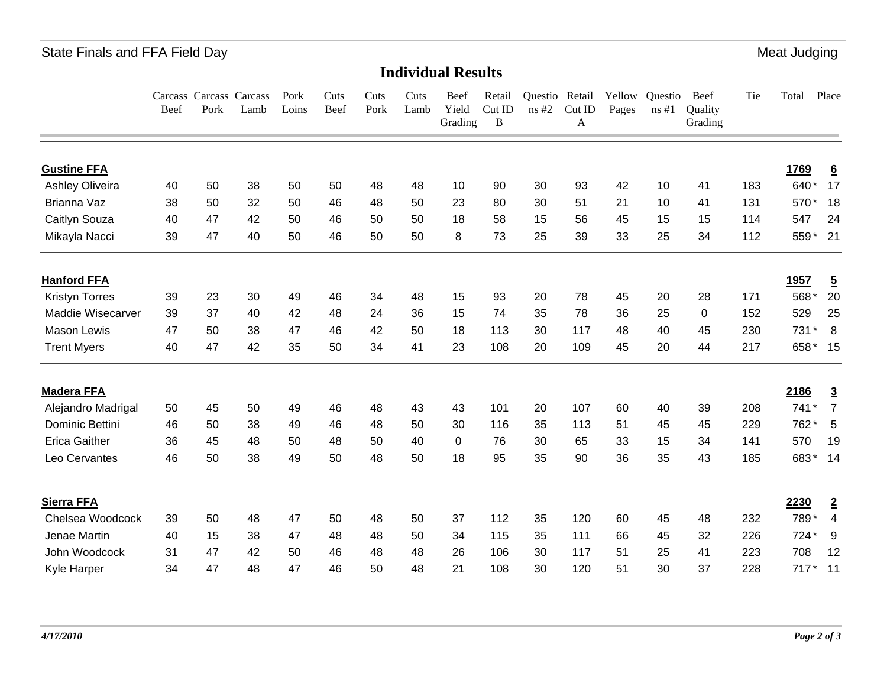## State Finals and FFA Field Day **Meat Judging** State Finals and FFA Field Day

**Individual Results**

|                       | Beef | Pork | Carcass Carcass Carcass<br>Lamb | Pork<br>Loins | Cuts<br>Beef | Cuts<br>Pork | Cuts<br>Lamb | Beef<br>Yield<br>Grading | Retail<br>Cut ID<br>$\bf{B}$ | ns#2 | Questio Retail<br>Cut ID<br>A | Yellow<br>Pages | Questio<br>ns#1 | Beef<br>Quality<br>Grading | Tie | Total   | Place                   |
|-----------------------|------|------|---------------------------------|---------------|--------------|--------------|--------------|--------------------------|------------------------------|------|-------------------------------|-----------------|-----------------|----------------------------|-----|---------|-------------------------|
| <b>Gustine FFA</b>    |      |      |                                 |               |              |              |              |                          |                              |      |                               |                 |                 |                            |     | 1769    | $\underline{6}$         |
| Ashley Oliveira       | 40   | 50   | 38                              | 50            | 50           | 48           | 48           | 10                       | 90                           | 30   | 93                            | 42              | 10              | 41                         | 183 | 640*    | 17                      |
| Brianna Vaz           | 38   | 50   | 32                              | 50            | 46           | 48           | 50           | 23                       | 80                           | 30   | 51                            | 21              | 10              | 41                         | 131 | 570*    | 18                      |
| Caitlyn Souza         | 40   | 47   | 42                              | 50            | 46           | 50           | 50           | 18                       | 58                           | 15   | 56                            | 45              | 15              | 15                         | 114 | 547     | 24                      |
| Mikayla Nacci         | 39   | 47   | 40                              | 50            | 46           | 50           | 50           | 8                        | 73                           | 25   | 39                            | 33              | 25              | 34                         | 112 | 559*    | 21                      |
| <b>Hanford FFA</b>    |      |      |                                 |               |              |              |              |                          |                              |      |                               |                 |                 |                            |     | 1957    | $\overline{5}$          |
| <b>Kristyn Torres</b> | 39   | 23   | 30                              | 49            | 46           | 34           | 48           | 15                       | 93                           | 20   | 78                            | 45              | 20              | 28                         | 171 | 568*    | 20                      |
| Maddie Wisecarver     | 39   | 37   | 40                              | 42            | 48           | 24           | 36           | 15                       | 74                           | 35   | 78                            | 36              | 25              | 0                          | 152 | 529     | 25                      |
| <b>Mason Lewis</b>    | 47   | 50   | 38                              | 47            | 46           | 42           | 50           | 18                       | 113                          | 30   | 117                           | 48              | 40              | 45                         | 230 | 731     | 8                       |
| <b>Trent Myers</b>    | 40   | 47   | 42                              | 35            | 50           | 34           | 41           | 23                       | 108                          | 20   | 109                           | 45              | 20              | 44                         | 217 | 658* 15 |                         |
| <b>Madera FFA</b>     |      |      |                                 |               |              |              |              |                          |                              |      |                               |                 |                 |                            |     | 2186    | $\overline{3}$          |
| Alejandro Madrigal    | 50   | 45   | 50                              | 49            | 46           | 48           | 43           | 43                       | 101                          | 20   | 107                           | 60              | 40              | 39                         | 208 | 741*    | $\overline{7}$          |
| Dominic Bettini       | 46   | 50   | 38                              | 49            | 46           | 48           | 50           | 30                       | 116                          | 35   | 113                           | 51              | 45              | 45                         | 229 | 762*    | 5                       |
| <b>Erica Gaither</b>  | 36   | 45   | 48                              | 50            | 48           | 50           | 40           | $\Omega$                 | 76                           | 30   | 65                            | 33              | 15              | 34                         | 141 | 570     | 19                      |
| Leo Cervantes         | 46   | 50   | 38                              | 49            | 50           | 48           | 50           | 18                       | 95                           | 35   | 90                            | 36              | 35              | 43                         | 185 | 683*    | 14                      |
| <b>Sierra FFA</b>     |      |      |                                 |               |              |              |              |                          |                              |      |                               |                 |                 |                            |     | 2230    | $\overline{2}$          |
| Chelsea Woodcock      | 39   | 50   | 48                              | 47            | 50           | 48           | 50           | 37                       | 112                          | 35   | 120                           | 60              | 45              | 48                         | 232 | 789*    | $\overline{\mathbf{4}}$ |
| Jenae Martin          | 40   | 15   | 38                              | 47            | 48           | 48           | 50           | 34                       | 115                          | 35   | 111                           | 66              | 45              | 32                         | 226 | 724*    | 9                       |
| John Woodcock         | 31   | 47   | 42                              | 50            | 46           | 48           | 48           | 26                       | 106                          | 30   | 117                           | 51              | 25              | 41                         | 223 | 708     | 12                      |
| Kyle Harper           | 34   | 47   | 48                              | 47            | 46           | 50           | 48           | 21                       | 108                          | 30   | 120                           | 51              | 30              | 37                         | 228 | $717*$  | $-11$                   |